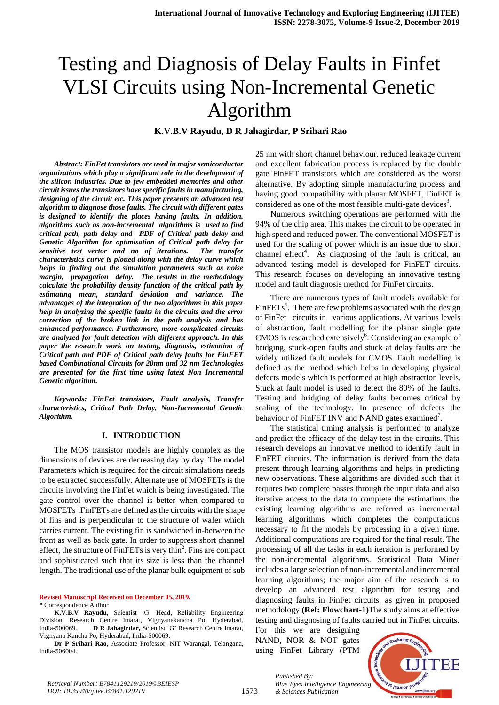# Testing and Diagnosis of Delay Faults in Finfet VLSI Circuits using Non-Incremental Genetic Algorithm

**K.V.B.V Rayudu, D R Jahagirdar, P Srihari Rao** 

*Abstract: FinFet transistors are used in major semiconductor organizations which play a significant role in the development of the silicon industries. Due to few embedded memories and other circuit issues the transistors have specific faults in manufacturing, designing of the circuit etc. This paper presents an advanced test algorithm to diagnose those faults. The circuit with different gates is designed to identify the places having faults. In addition, algorithms such as non-incremental algorithms is used to find critical path, path delay and PDF of Critical path delay and Genetic Algorithm for optimisation of Critical path delay for sensitive test vector and no of iterations. The transfer characteristics curve is plotted along with the delay curve which helps in finding out the simulation parameters such as noise margin, propagation delay. The results in the methodology calculate the probability density function of the critical path by estimating mean, standard deviation and variance. The advantages of the integration of the two algorithms in this paper help in analyzing the specific faults in the circuits and the error correction of the broken link in the path analysis and has enhanced performance. Furthermore, more complicated circuits are analyzed for fault detection with different approach. In this paper the research work on testing, diagnosis, estimation of Critical path and PDF of Critical path delay faults for FinFET based Combinational Circuits for 20nm and 32 nm Technologies are presented for the first time using latest Non Incremental Genetic algorithm.*

*Keywords: FinFet transistors, Fault analysis, Transfer characteristics, Critical Path Delay, Non-Incremental Genetic Algorithm.*

#### **I. INTRODUCTION**

The MOS transistor models are highly complex as the dimensions of devices are decreasing day by day. The model Parameters which is required for the circuit simulations needs to be extracted successfully. Alternate use of MOSFETs is the circuits involving the FinFet which is being investigated. The gate control over the channel is better when compared to  $MOSFETs<sup>1</sup>$ . FinFETs are defined as the circuits with the shape of fins and is perpendicular to the structure of wafer which carries current. The existing fin is sandwiched in-between the front as well as back gate. In order to suppress short channel effect, the structure of  $\overline{F}$ in $\overline{F}ETs$  is very thin<sup>2</sup>. Fins are compact and sophisticated such that its size is less than the channel length. The traditional use of the planar bulk equipment of sub

**Revised Manuscript Received on December 05, 2019.**

**\*** Correspondence Author

**K.V.B.V Rayudu,** Scientist "G" Head, Reliability Engineering Division, Research Centre Imarat, Vignyanakancha Po, Hyderabad, India-500069. **D R Jahagirdar,** Scientist "G" Research Centre Imarat, Vignyana Kancha Po, Hyderabad, India-500069.

**Dr P Srihari Rao,** Associate Professor, NIT Warangal, Telangana, India-506004.

25 nm with short channel behaviour, reduced leakage current and excellent fabrication process is replaced by the double gate FinFET transistors which are considered as the worst alternative. By adopting simple manufacturing process and having good compatibility with planar MOSFET, FinFET is considered as one of the most feasible multi-gate devices<sup>3</sup>.

Numerous switching operations are performed with the 94% of the chip area. This makes the circuit to be operated in high speed and reduced power. The conventional MOSFET is used for the scaling of power which is an issue due to short channel effect<sup>4</sup>. As diagnosing of the fault is critical, an advanced testing model is developed for FinFET circuits. This research focuses on developing an innovative testing model and fault diagnosis method for FinFet circuits.

There are numerous types of fault models available for Fin $FETs<sup>5</sup>$ . There are few problems associated with the design of FinFet circuits in various applications. At various levels of abstraction, fault modelling for the planar single gate CMOS is researched extensively $6$ . Considering an example of bridging, stuck-open faults and stuck at delay faults are the widely utilized fault models for CMOS. Fault modelling is defined as the method which helps in developing physical defects models which is performed at high abstraction levels. Stuck at fault model is used to detect the 80% of the faults. Testing and bridging of delay faults becomes critical by scaling of the technology. In presence of defects the behaviour of FinFET INV and NAND gates examined<sup>7</sup>.

The statistical timing analysis is performed to analyze and predict the efficacy of the delay test in the circuits. This research develops an innovative method to identify fault in FinFET circuits. The information is derived from the data present through learning algorithms and helps in predicting new observations. These algorithms are divided such that it requires two complete passes through the input data and also iterative access to the data to complete the estimations the existing learning algorithms are referred as incremental learning algorithms which completes the computations necessary to fit the models by processing in a given time. Additional computations are required for the final result. The processing of all the tasks in each iteration is performed by the non-incremental algorithms. Statistical Data Miner includes a large selection of non-incremental and incremental learning algorithms; the major aim of the research is to develop an advanced test algorithm for testing and diagnosing faults in FinFet circuits. as given in proposed methodology **(Ref: Flowchart-1)**The study aims at effective testing and diagnosing of faults carried out in FinFet circuits.

For this we are designing NAND, NOR & NOT gates using FinFet Library (PTM

*& Sciences Publication* 

*Published By:*

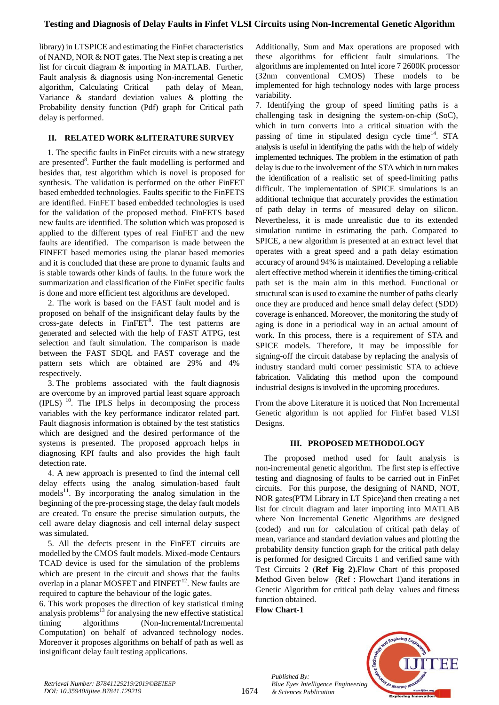library) in LTSPICE and estimating the FinFet characteristics of NAND, NOR & NOT gates. The Next step is creating a net list for circuit diagram & importing in MATLAB. Further, Fault analysis & diagnosis using Non-incremental Genetic algorithm, Calculating Critical path delay of Mean, Variance & standard deviation values & plotting the Probability density function (Pdf) graph for Critical path delay is performed.

## **II. RELATED WORK &LITERATURE SURVEY**

1. The specific faults in FinFet circuits with a new strategy are presented<sup>8</sup>. Further the fault modelling is performed and besides that, test algorithm which is novel is proposed for synthesis. The validation is performed on the other FinFET based embedded technologies. Faults specific to the FinFETS are identified. FinFET based embedded technologies is used for the validation of the proposed method. FinFETS based new faults are identified. The solution which was proposed is applied to the different types of real FinFET and the new faults are identified. The comparison is made between the FINFET based memories using the planar based memories and it is concluded that these are prone to dynamic faults and is stable towards other kinds of faults. In the future work the summarization and classification of the FinFet specific faults is done and more efficient test algorithms are developed.

2. The work is based on the FAST fault model and is proposed on behalf of the insignificant delay faults by the cross-gate defects in  $FinFET<sup>9</sup>$ . The test patterns are generated and selected with the help of FAST ATPG, test selection and fault simulation. The comparison is made between the FAST SDQL and FAST coverage and the pattern sets which are obtained are 29% and 4% respectively.

3. The problems associated with the fault diagnosis are overcome by an improved partial least square approach (IPLS) <sup>10</sup>. The IPLS helps in decomposing the process variables with the key performance indicator related part. Fault diagnosis information is obtained by the test statistics which are designed and the desired performance of the systems is presented. The proposed approach helps in diagnosing KPI faults and also provides the high fault detection rate.

4. A new approach is presented to find the internal cell delay effects using the analog simulation-based fault  $models<sup>11</sup>$ . By incorporating the analog simulation in the beginning of the pre-processing stage, the delay fault models are created. To ensure the precise simulation outputs, the cell aware delay diagnosis and cell internal delay suspect was simulated.

5. All the defects present in the FinFET circuits are modelled by the CMOS fault models. Mixed-mode Centaurs TCAD device is used for the simulation of the problems which are present in the circuit and shows that the faults overlap in a planar MOSFET and  $FINFET^{12}$ . New faults are required to capture the behaviour of the logic gates.

6. This work proposes the direction of key statistical timing analysis problems<sup>13</sup> for analysing the new effective statistical timing algorithms (Non-Incremental/Incremental Computation) on behalf of advanced technology nodes. Moreover it proposes algorithms on behalf of path as well as insignificant delay fault testing applications.

Additionally, Sum and Max operations are proposed with these algorithms for efficient fault simulations. The algorithms are implemented on Intel icore 7 2600K processor (32nm conventional CMOS) These models to be implemented for high technology nodes with large process variability.

7. Identifying the group of speed limiting paths is a challenging task in designing the system-on-chip (SoC), which in turn converts into a critical situation with the passing of time in stipulated design cycle time<sup>14</sup>. STA analysis is useful in identifying the paths with the help of widely implemented techniques. The problem in the estimation of path delay is due to the involvement of the STA which in turn makes the identification of a realistic set of speed-limiting paths difficult. The implementation of SPICE simulations is an additional technique that accurately provides the estimation of path delay in terms of measured delay on silicon. Nevertheless, it is made unrealistic due to its extended simulation runtime in estimating the path. Compared to SPICE, a new algorithm is presented at an extract level that operates with a great speed and a path delay estimation accuracy of around 94% is maintained. Developing a reliable alert effective method wherein it identifies the timing-critical path set is the main aim in this method. Functional or structural scan is used to examine the number of paths clearly once they are produced and hence small delay defect (SDD) coverage is enhanced. Moreover, the monitoring the study of aging is done in a periodical way in an actual amount of work. In this process, there is a requirement of STA and SPICE models. Therefore, it may be impossible for signing-off the circuit database by replacing the analysis of industry standard multi corner pessimistic STA to achieve fabrication. Validating this method upon the compound industrial designs is involved in the upcoming procedures.

From the above Literature it is noticed that Non Incremental Genetic algorithm is not applied for FinFet based VLSI Designs.

#### **III. PROPOSED METHODOLOGY**

The proposed method used for fault analysis is non-incremental genetic algorithm. The first step is effective testing and diagnosing of faults to be carried out in FinFet circuits. For this purpose, the designing of NAND, NOT, NOR gates(PTM Library in LT Spice)and then creating a net list for circuit diagram and later importing into MATLAB where Non Incremental Genetic Algorithms are designed (coded) and run for calculation of critical path delay of mean, variance and standard deviation values and plotting the probability density function graph for the critical path delay is performed for designed Circuits 1 and verified same with Test Circuits 2 (**Ref Fig 2).**Flow Chart of this proposed Method Given below (Ref : Flowchart 1)and iterations in Genetic Algorithm for critical path delay values and fitness function obtained.

**Flow Chart-1**

*Published By: Blue Eyes Intelligence Engineering & Sciences Publication* 

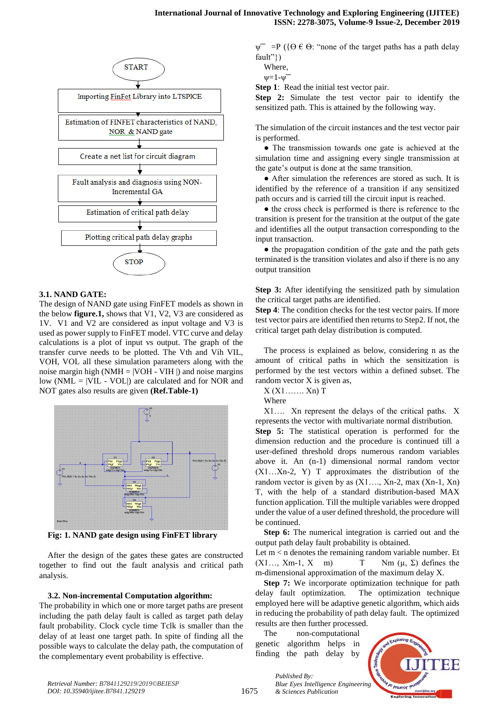

#### **3.1. NAND GATE:**

The design of NAND gate using FinFET models as shown in the below **figure.1,** shows that V1, V2, V3 are considered as 1V. V1 and V2 are considered as input voltage and V3 is used as power supply to FinFET model. VTC curve and delay calculations is a plot of input vs output. The graph of the transfer curve needs to be plotted. The Vth and Vih VIL, VOH, VOL all these simulation parameters along with the noise margin high (NMH =  $|VOH - VIH|$ ) and noise margins low ( $NML = |VIL - VOL|$ ) are calculated and for NOR and NOT gates also results are given **(Ref.Table-1)**



**Fig: 1. NAND gate design using FinFET library**

After the design of the gates these gates are constructed together to find out the fault analysis and critical path analysis.

## **3.2. Non-incremental Computation algorithm:**

The probability in which one or more target paths are present including the path delay fault is called as target path delay fault probability. Clock cycle time Tclk is smaller than the delay of at least one target path. In spite of finding all the possible ways to calculate the delay path, the computation of the complementary event probability is effective.

 $\psi^-$  =P ({ $\Theta \in \Theta$ : "none of the target paths has a path delay fault"})

Where,

$$
\psi = 1 - \psi
$$

**Step 1**: Read the initial test vector pair.

**Step 2:** Simulate the test vector pair to identify the sensitized path. This is attained by the following way.

The simulation of the circuit instances and the test vector pair is performed.

• The transmission towards one gate is achieved at the simulation time and assigning every single transmission at the gate"s output is done at the same transition.

● After simulation the references are stored as such. It is identified by the reference of a transition if any sensitized path occurs and is carried till the circuit input is reached.

• the cross check is performed is there is reference to the transition is present for the transition at the output of the gate and identifies all the output transaction corresponding to the input transaction.

• the propagation condition of the gate and the path gets terminated is the transition violates and also if there is no any output transition

**Step 3:** After identifying the sensitized path by simulation the critical target paths are identified.

**Step 4**: The condition checks for the test vector pairs. If more test vector pairs are identified then returns to Step2. If not, the critical target path delay distribution is computed.

The process is explained as below, considering n as the amount of critical paths in which the sensitization is performed by the test vectors within a defined subset. The random vector X is given as,

 $X(X1$ .......  $Xn)$  T

Where

X1…. Xn represent the delays of the critical paths. X represents the vector with multivariate normal distribution. **Step 5:** The statistical operation is performed for the dimension reduction and the procedure is continued till a user-defined threshold drops numerous random variables above it. An (n-1) dimensional normal random vector (X1…Xn-2, Y) T approximates the distribution of the random vector is given by as  $(X1..., Xn-2, max(Xn-1, Xn))$ T, with the help of a standard distribution-based MAX function application. Till the multiple variables were dropped under the value of a user defined threshold, the procedure will be continued.

**Step 6:** The numerical integration is carried out and the output path delay fault probability is obtained. Let m < n denotes the remaining random variable number. Et  $(X1..., Xm-1, X \mid m)$  T Nm  $(\mu, \Sigma)$  defines the m-dimensional approximation of the maximum delay X.

**Step 7:** We incorporate optimization technique for path delay fault optimization. The optimization technique employed here will be adaptive genetic algorithm, which aids in reducing the probability of path delay fault. The optimized results are then further processed.

The non-computational genetic algorithm helps in finding the path delay by

*& Sciences Publication* 

*Published By:*

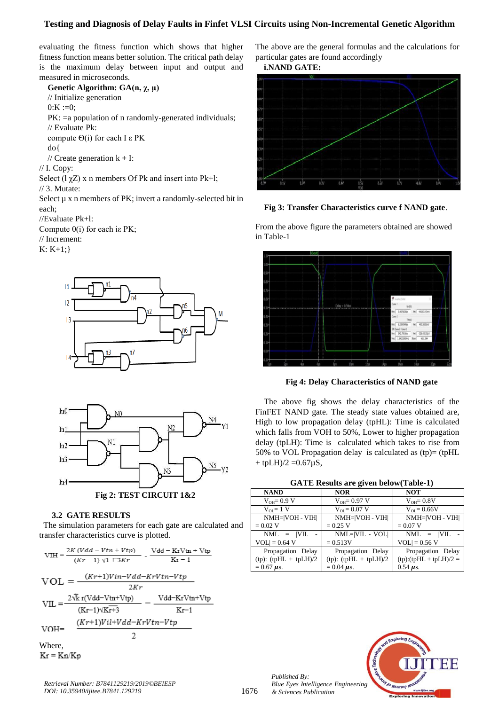## **Testing and Diagnosis of Delay Faults in Finfet VLSI Circuits using Non-Incremental Genetic Algorithm**

evaluating the fitness function which shows that higher fitness function means better solution. The critical path delay is the maximum delay between input and output and measured in microseconds.

**Genetic Algorithm: GA(n, χ, µ)** // Initialize generation  $0:K := 0;$ PK:  $=$ a population of n randomly-generated individuals; // Evaluate Pk: compute  $Θ(i)$  for each I ε PK do{ // Create generation  $k + I$ : // I. Copy: Select  $(1 \chi Z)$  x n members Of Pk and insert into Pk+l; // 3. Mutate: Select  $\mu$  x n members of PK; invert a randomly-selected bit in each; //Evaluate Pk+l: Compute 0(i) for each iε PK;

// Increment:

 $K: K+1:$ 





#### **3.2 GATE RESULTS**

 The simulation parameters for each gate are calculated and transfer characteristics curve is plotted.



 $Kr = Kn/Kp$ 

*Retrieval Number: B7841129219/2019©BEIESP DOI: 10.35940/ijitee.B7841.129219*

The above are the general formulas and the calculations for particular gates are found accordingly

**i.NAND GATE:**



**Fig 3: Transfer Characteristics curve f NAND gate**.

From the above figure the parameters obtained are showed in Table-1



**Fig 4: Delay Characteristics of NAND gate**

The above fig shows the delay characteristics of the FinFET NAND gate. The steady state values obtained are, High to low propagation delay (tpHL): Time is calculated which falls from VOH to 50%, Lower to higher propagation delay (tpLH): Time is calculated which takes to rise from 50% to VOL Propagation delay is calculated as (tp)= (tpHL  $+$  tpLH $)/2 = 0.67 \mu S$ ,

| <b>GATE Results are given below(Table-1)</b> |  |  |  |  |  |  |  |
|----------------------------------------------|--|--|--|--|--|--|--|
|----------------------------------------------|--|--|--|--|--|--|--|

| <b>NAND</b>             | <b>NOR</b>                 | <b>NOT</b>               |
|-------------------------|----------------------------|--------------------------|
| $V_{OH} = 0.9 V$        | $V_{OH} = 0.97 V$          | $V_{OH} = 0.8V$          |
| $V_{\text{or}} = 1$ V   | $V_{\text{OL}} = 0.07$ V   | $V_{\text{OL}} = 0.66V$  |
| NMH= VOH - VIH          | NMH= VOH - VIH             | NMH= VOH - VIH           |
| $= 0.02$ V              | $= 0.25 V$                 | $= 0.07 V$               |
| $NML = VIL$             | $NML= VIL - VOL $          | $NML = VIL$              |
| $VOL$ = 0.64 V          | $= 0.513V$                 | $VOL = 0.56 V$           |
| Propagation Delay       | Propagation Delay          | Propagation Delay        |
| $(tp): (tpHL + tpLH)/2$ | $(tp)$ : $(tpHL + tpLH)/2$ | $(tp):(tpHL + tpLH)/2 =$ |
| $= 0.67 \mu s.$         | $= 0.04 \mu s$ .           | $0.54 \mu s$ .           |



*Published By: Blue Eyes Intelligence Engineering & Sciences Publication*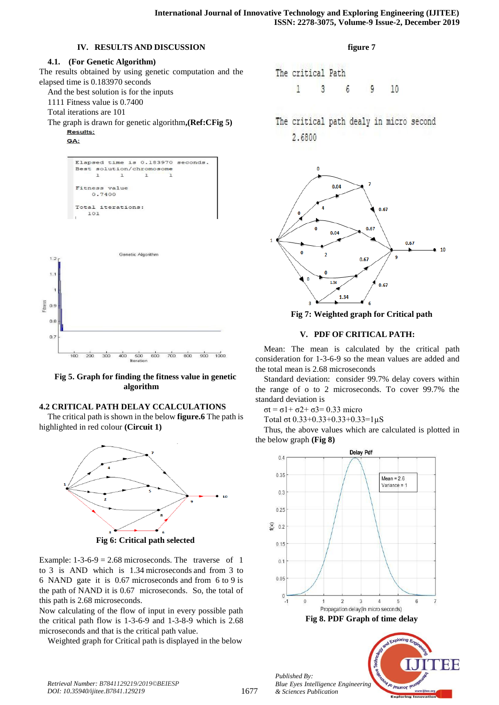# **IV. RESULTS AND DISCUSSION**

## **4.1. (For Genetic Algorithm)**

The results obtained by using genetic computation and the elapsed time is 0.183970 seconds And the best solution is for the inputs

1111 Fitness value is 0.7400

Total iterations are 101

The graph is drawn for genetic algorithm**,(Ref:CFig 5)** 

Results: GA:

 $1.2$ 

 $11$ 





**Fig 5. Graph for finding the fitness value in genetic algorithm**

# **4.2 CRITICAL PATH DELAY CCALCULATIONS**

The critical path is shown in the below **figure.6** The path is highlighted in red colour **(Circuit 1)**



**Fig 6: Critical path selected**

Example:  $1-3-6-9 = 2.68$  microseconds. The traverse of 1 to 3 is AND which is 1.34 microseconds and from 3 to 6 NAND gate it is 0.67 microseconds and from 6 to 9 is the path of NAND it is 0.67 microseconds. So, the total of this path is 2.68 microseconds.

Now calculating of the flow of input in every possible path the critical path flow is 1-3-6-9 and 1-3-8-9 which is 2.68 microseconds and that is the critical path value.

Weighted graph for Critical path is displayed in the below

## **figure 7**

The critical Path 1 3 6 9 10

The critical path dealy in micro second 2.6800



**Fig 7: Weighted graph for Critical path**

# **V. PDF OF CRITICAL PATH:**

Mean: The mean is calculated by the critical path consideration for 1-3-6-9 so the mean values are added and the total mean is 2.68 microseconds

Standard deviation: consider 99.7% delay covers within the range of o to 2 microseconds. To cover 99.7% the standard deviation is

σt = σ1+ σ2+ σ3= 0.33 micro

Total σt 0.33+0.33+0.33+0.33=1µS

Thus, the above values which are calculated is plotted in the below graph **(Fig 8)**



leunoc

*Retrieval Number: B7841129219/2019©BEIESP DOI: 10.35940/ijitee.B7841.129219*

*Published By: Blue Eyes Intelligence Engineering & Sciences Publication*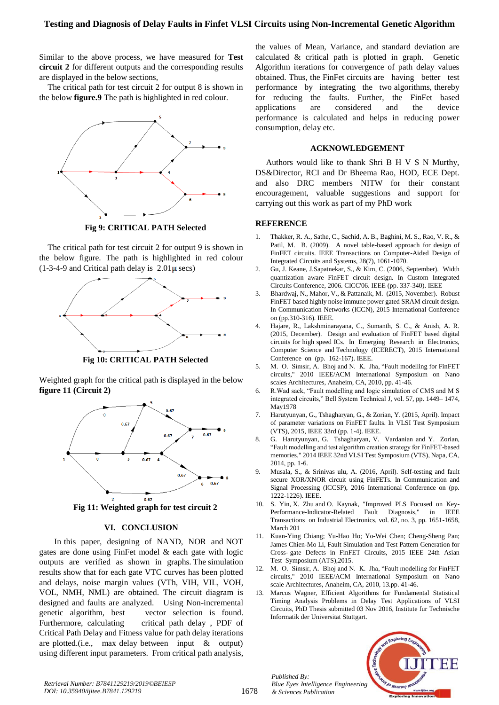Similar to the above process, we have measured for **Test circuit 2** for different outputs and the corresponding results are displayed in the below sections,

The critical path for test circuit 2 for output 8 is shown in the below **figure.9** The path is highlighted in red colour.



**Fig 9: CRITICAL PATH Selected**

The critical path for test circuit 2 for output 9 is shown in the below figure. The path is highlighted in red colour  $(1-3-4-9)$  and Critical path delay is  $2.01\mu$  secs)



**Fig 10: CRITICAL PATH Selected**

Weighted graph for the critical path is displayed in the below **figure 11 (Circuit 2)**



**Fig 11: Weighted graph for test circuit 2**

# **VI. CONCLUSION**

In this paper, designing of NAND, NOR and NOT gates are done using FinFet model & each gate with logic outputs are verified as shown in graphs. The simulation results show that for each gate VTC curves has been plotted and delays, noise margin values (VTh, VIH, VIL, VOH, VOL, NMH, NML) are obtained. The circuit diagram is designed and faults are analyzed. Using Non-incremental genetic algorithm, best vector selection is found. Furthermore, calculating critical path delay, PDF of Critical Path Delay and Fitness value for path delay iterations are plotted.(i.e., max delay between input & output) using different input parameters. From critical path analysis,

the values of Mean, Variance, and standard deviation are calculated & critical path is plotted in graph. Genetic Algorithm iterations for convergence of path delay values obtained. Thus, the FinFet circuits are having better test performance by integrating the two algorithms, thereby for reducing the faults. Further, the FinFet based applications are considered and the device performance is calculated and helps in reducing power consumption, delay etc.

# **ACKNOWLEDGEMENT**

Authors would like to thank Shri B H V S N Murthy, DS&Director, RCI and Dr Bheema Rao, HOD, ECE Dept. and also DRC members NITW for their constant encouragement, valuable suggestions and support for carrying out this work as part of my PhD work

# **REFERENCE**

- 1. Thakker, R. A., Sathe, C., Sachid, A. B., Baghini, M. S., Rao, V. R., & Patil, M. B. (2009). A novel table-based approach for design of FinFET circuits. IEEE Transactions on Computer-Aided Design of Integrated Circuits and Systems, 28(7), 1061-1070.
- 2. Gu, J. Keane, J.Sapatnekar, S., & Kim, C. (2006, September). Width quantization aware FinFET circuit design. In Custom Integrated Circuits Conference, 2006. CICC'06. IEEE (pp. 337-340). IEEE
- 3. Bhardwaj, N., Mahor, V., & Pattanaik, M. (2015, November). Robust FinFET based highly noise immune power gated SRAM circuit design. In Communication Networks (ICCN), 2015 International Conference on (pp.310-316). IEEE.
- 4. Hajare, R., Lakshminarayana, C., Sumanth, S. C., & Anish, A. R. (2015, December). Design and evaluation of FinFET based digital circuits for high speed ICs. In Emerging Research in Electronics, Computer Science and Technology (ICERECT), 2015 International Conference on (pp. 162-167). IEEE.
- 5. M. O. Simsir, A. Bhoj and N. K. Jha, "Fault modelling for FinFET circuits," 2010 IEEE/ACM International Symposium on Nano scales Architectures, Anaheim, CA, 2010, pp. 41-46.
- 6. R.Wad sack, "Fault modelling and logic simulation of CMS and M S integrated circuits," Bell System Technical J, vol. 57, pp. 1449– 1474, May1978
- 7. Harutyunyan, G., Tshagharyan, G., & Zorian, Y. (2015, April). Impact of parameter variations on FinFET faults. In VLSI Test Symposium (VTS), 2015, IEEE 33rd (pp. 1-4). IEEE.
- 8. G. Harutyunyan, G. Tshagharyan, V. Vardanian and Y. Zorian, "Fault modelling and test algorithm creation strategy for FinFET-based memories," 2014 IEEE 32nd VLSI Test Symposium (VTS), Napa, CA, 2014, pp. 1-6.
- 9. Musala, S., & Srinivas ulu, A. (2016, April). Self-testing and fault secure XOR/XNOR circuit using FinFETs. In Communication and Signal Processing (ICCSP), 2016 International Conference on (pp. 1222-1226). IEEE.
- 10. S. Yin, X. Zhu and O. Kaynak, "Improved PLS Focused on Key-Performance-Indicator-Related Fault Diagnosis," in IEEE Transactions on Industrial Electronics, vol. 62, no. 3, pp. 1651-1658, March 201
- 11. Kuan-Ying Chiang; Yu-Hao Ho; Yo-Wei Chen; Cheng-Sheng Pan; James Chien-Mo Li, Fault Simulation and Test Pattern Generation for Cross- gate Defects in FinFET Circuits, 2015 IEEE 24th Asian Test Symposium (ATS),2015.
- 12. M. O. Simsir, A. Bhoj and N. K. Jha, "Fault modelling for FinFET circuits," 2010 IEEE/ACM International Symposium on Nano scale Architectures, Anaheim, CA, 2010, 13.pp. 41-46.
- 13. Marcus Wagner, Efficient Algorithms for Fundamental Statistical Timing Analysis Problems in Delay Test Applications of VLSI Circuits, PhD Thesis submitted 03 Nov 2016, Institute fur Technische Informatik der Universitat Stuttgart.



IF IE

*Retrieval Number: B7841129219/2019©BEIESP DOI: 10.35940/ijitee.B7841.129219*